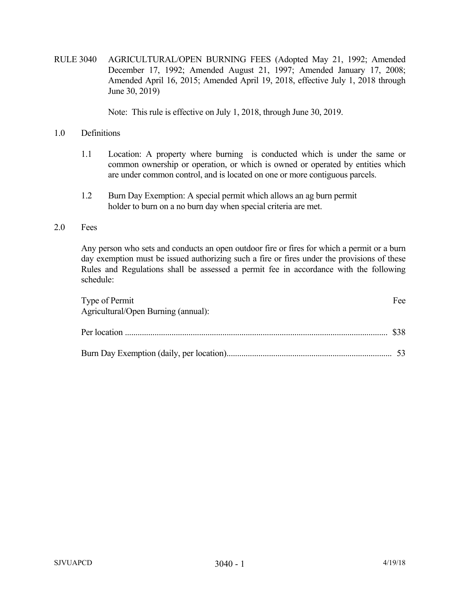RULE 3040 AGRICULTURAL/OPEN BURNING FEES (Adopted May 21, 1992; Amended December 17, 1992; Amended August 21, 1997; Amended January 17, 2008; Amended April 16, 2015; Amended April 19, 2018, effective July 1, 2018 through June 30, 2019)

Note: This rule is effective on July 1, 2018, through June 30, 2019.

## 1.0 Definitions

- 1.1 Location: A property where burning is conducted which is under the same or common ownership or operation, or which is owned or operated by entities which are under common control, and is located on one or more contiguous parcels.
- 1.2 Burn Day Exemption: A special permit which allows an ag burn permit holder to burn on a no burn day when special criteria are met.

## 2.0 Fees

Any person who sets and conducts an open outdoor fire or fires for which a permit or a burn day exemption must be issued authorizing such a fire or fires under the provisions of these Rules and Regulations shall be assessed a permit fee in accordance with the following schedule:

| Type of Permit<br>Agricultural/Open Burning (annual): | Fee |
|-------------------------------------------------------|-----|
|                                                       |     |
|                                                       |     |